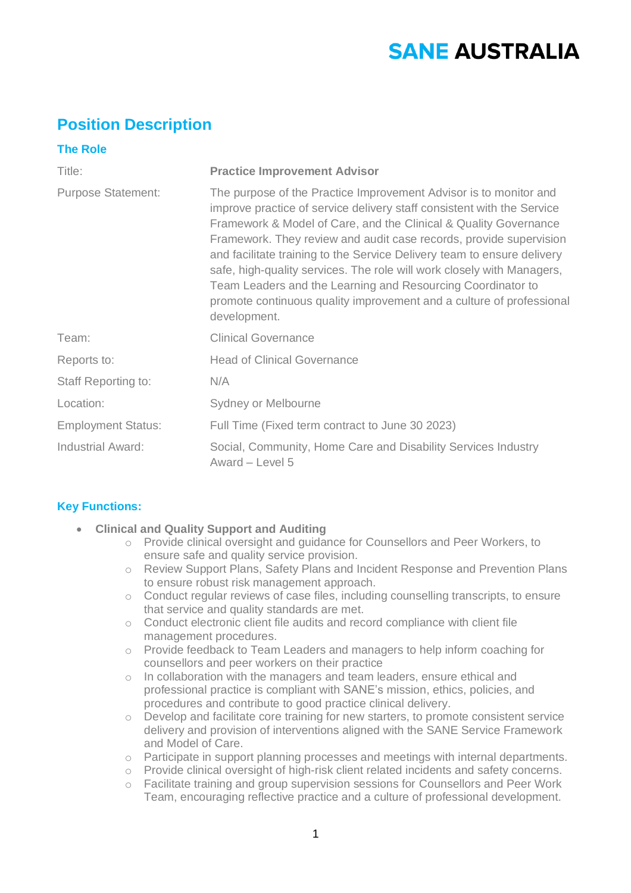# **SANE AUSTRALIA**

# **Position Description**

| <b>The Role</b>            |                                                                                                                                                                                                                                                                                                                                                                                                                                                                                                                                                                                                   |
|----------------------------|---------------------------------------------------------------------------------------------------------------------------------------------------------------------------------------------------------------------------------------------------------------------------------------------------------------------------------------------------------------------------------------------------------------------------------------------------------------------------------------------------------------------------------------------------------------------------------------------------|
| Title:                     | <b>Practice Improvement Advisor</b>                                                                                                                                                                                                                                                                                                                                                                                                                                                                                                                                                               |
| <b>Purpose Statement:</b>  | The purpose of the Practice Improvement Advisor is to monitor and<br>improve practice of service delivery staff consistent with the Service<br>Framework & Model of Care, and the Clinical & Quality Governance<br>Framework. They review and audit case records, provide supervision<br>and facilitate training to the Service Delivery team to ensure delivery<br>safe, high-quality services. The role will work closely with Managers,<br>Team Leaders and the Learning and Resourcing Coordinator to<br>promote continuous quality improvement and a culture of professional<br>development. |
| Team:                      | <b>Clinical Governance</b>                                                                                                                                                                                                                                                                                                                                                                                                                                                                                                                                                                        |
| Reports to:                | <b>Head of Clinical Governance</b>                                                                                                                                                                                                                                                                                                                                                                                                                                                                                                                                                                |
| <b>Staff Reporting to:</b> | N/A                                                                                                                                                                                                                                                                                                                                                                                                                                                                                                                                                                                               |
| Location:                  | Sydney or Melbourne                                                                                                                                                                                                                                                                                                                                                                                                                                                                                                                                                                               |
| <b>Employment Status:</b>  | Full Time (Fixed term contract to June 30 2023)                                                                                                                                                                                                                                                                                                                                                                                                                                                                                                                                                   |
| <b>Industrial Award:</b>   | Social, Community, Home Care and Disability Services Industry<br>Award - Level 5                                                                                                                                                                                                                                                                                                                                                                                                                                                                                                                  |

# **Key Functions:**

- **Clinical and Quality Support and Auditing** 
	- o Provide clinical oversight and guidance for Counsellors and Peer Workers, to ensure safe and quality service provision.
	- o Review Support Plans, Safety Plans and Incident Response and Prevention Plans to ensure robust risk management approach.
	- o Conduct regular reviews of case files, including counselling transcripts, to ensure that service and quality standards are met.
	- o Conduct electronic client file audits and record compliance with client file management procedures.
	- o Provide feedback to Team Leaders and managers to help inform coaching for counsellors and peer workers on their practice
	- o In collaboration with the managers and team leaders, ensure ethical and professional practice is compliant with SANE's mission, ethics, policies, and procedures and contribute to good practice clinical delivery.
	- o Develop and facilitate core training for new starters, to promote consistent service delivery and provision of interventions aligned with the SANE Service Framework and Model of Care.
	- o Participate in support planning processes and meetings with internal departments.
	- o Provide clinical oversight of high-risk client related incidents and safety concerns.
	- o Facilitate training and group supervision sessions for Counsellors and Peer Work Team, encouraging reflective practice and a culture of professional development.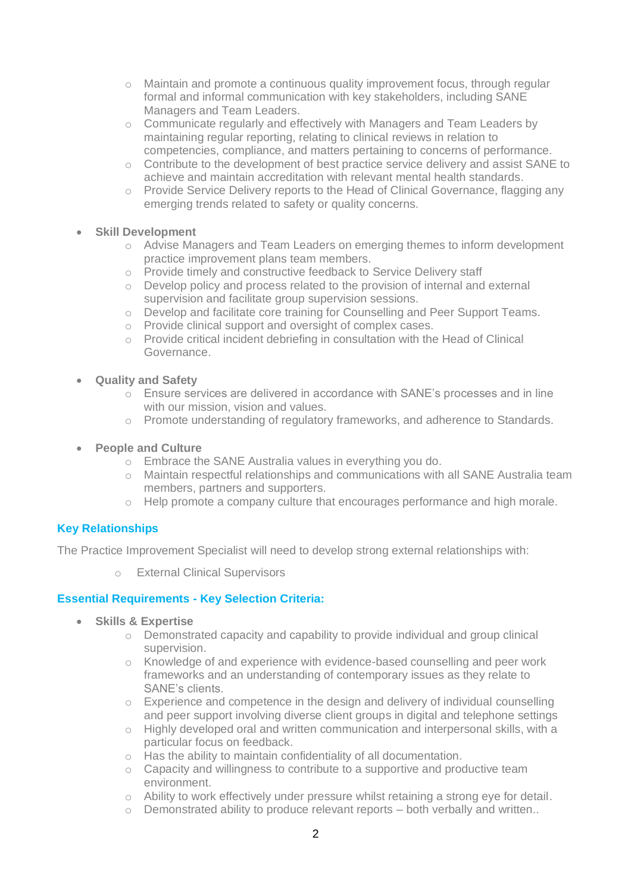- $\circ$  Maintain and promote a continuous quality improvement focus, through regular formal and informal communication with key stakeholders, including SANE Managers and Team Leaders.
- o Communicate regularly and effectively with Managers and Team Leaders by maintaining regular reporting, relating to clinical reviews in relation to competencies, compliance, and matters pertaining to concerns of performance.
- o Contribute to the development of best practice service delivery and assist SANE to achieve and maintain accreditation with relevant mental health standards.
- o Provide Service Delivery reports to the Head of Clinical Governance, flagging any emerging trends related to safety or quality concerns.

#### • **Skill Development**

- o Advise Managers and Team Leaders on emerging themes to inform development practice improvement plans team members.
- o Provide timely and constructive feedback to Service Delivery staff
- $\circ$  Develop policy and process related to the provision of internal and external supervision and facilitate group supervision sessions.
- o Develop and facilitate core training for Counselling and Peer Support Teams.
- o Provide clinical support and oversight of complex cases.
- $\circ$  Provide critical incident debriefing in consultation with the Head of Clinical Governance.
- **Quality and Safety** 
	- o Ensure services are delivered in accordance with SANE's processes and in line with our mission, vision and values.
	- o Promote understanding of regulatory frameworks, and adherence to Standards.
- **People and Culture** 
	- o Embrace the SANE Australia values in everything you do.
	- o Maintain respectful relationships and communications with all SANE Australia team members, partners and supporters.
	- o Help promote a company culture that encourages performance and high morale.

## **Key Relationships**

The Practice Improvement Specialist will need to develop strong external relationships with:

o External Clinical Supervisors

## **Essential Requirements - Key Selection Criteria:**

- **Skills & Expertise** 
	- o Demonstrated capacity and capability to provide individual and group clinical supervision.
	- o Knowledge of and experience with evidence-based counselling and peer work frameworks and an understanding of contemporary issues as they relate to SANE's clients.
	- o Experience and competence in the design and delivery of individual counselling and peer support involving diverse client groups in digital and telephone settings
	- $\circ$  Highly developed oral and written communication and interpersonal skills, with a particular focus on feedback.
	- o Has the ability to maintain confidentiality of all documentation.
	- o Capacity and willingness to contribute to a supportive and productive team environment.
	- o Ability to work effectively under pressure whilst retaining a strong eye for detail.
	- $\circ$  Demonstrated ability to produce relevant reports both verbally and written..